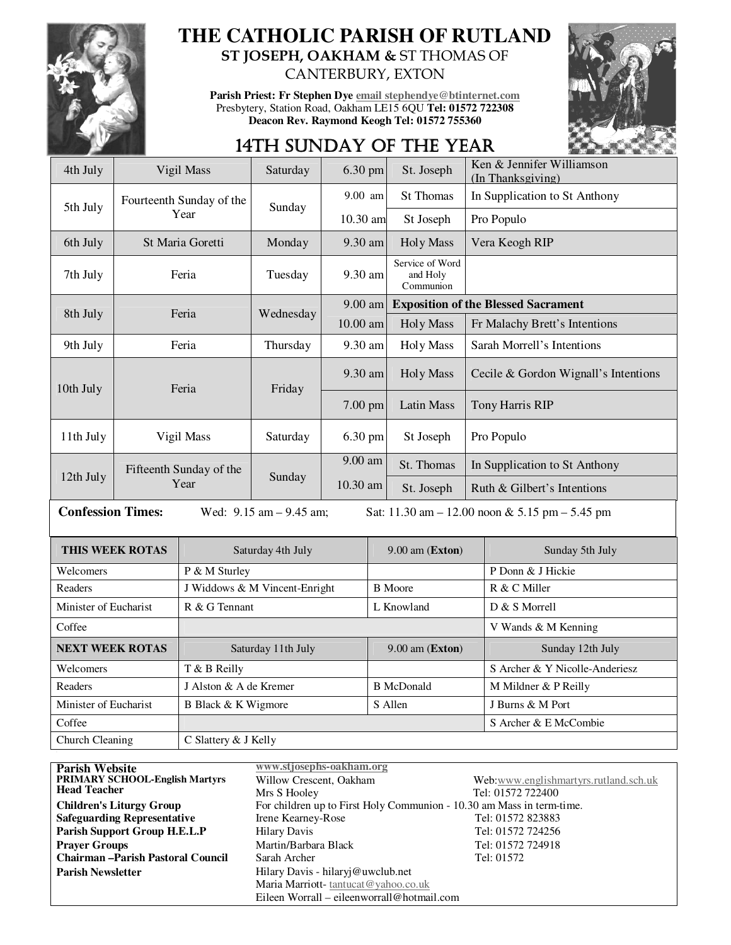

## **THE CATHOLIC PARISH OF RUTLAND ST JOSEPH, OAKHAM &** ST THOMAS OF CANTERBURY, EXTON

**Parish Priest: Fr Stephen Dye email stephendye@btinternet.com** Presbytery, Station Road, Oakham LE15 6QU **Tel: 01572 722308 Deacon Rev. Raymond Keogh Tel: 01572 755360** 



# 14TH SUNDAY OF THE YEAR

| 4th July                                                                                                        |                                 | Vigil Mass                    | Saturday          | 6.30 pm               |                   | St. Joseph                                 | Ken & Jennifer Williamson<br>(In Thanksgiving) |  |
|-----------------------------------------------------------------------------------------------------------------|---------------------------------|-------------------------------|-------------------|-----------------------|-------------------|--------------------------------------------|------------------------------------------------|--|
| Fourteenth Sunday of the<br>5th July<br>Year                                                                    |                                 |                               |                   | 9.00 am               |                   | <b>St Thomas</b>                           | In Supplication to St Anthony                  |  |
|                                                                                                                 |                                 |                               | Sunday            | $10.30$ am            |                   | St Joseph                                  | Pro Populo                                     |  |
| 6th July                                                                                                        | St Maria Goretti                |                               | Monday            | 9.30 am               |                   | <b>Holy Mass</b>                           | Vera Keogh RIP                                 |  |
| 7th July                                                                                                        | Feria                           |                               | Tuesday           | 9.30 am               |                   | Service of Word<br>and Holy<br>Communion   |                                                |  |
|                                                                                                                 |                                 | Feria                         |                   | 9.00 am               |                   | <b>Exposition of the Blessed Sacrament</b> |                                                |  |
|                                                                                                                 | 8th July                        |                               | Wednesday         | $10.00$ am            |                   | <b>Holy Mass</b>                           | Fr Malachy Brett's Intentions                  |  |
| 9th July                                                                                                        | Feria                           |                               | Thursday          | 9.30 am               |                   | <b>Holy Mass</b>                           | Sarah Morrell's Intentions                     |  |
| 10th July                                                                                                       | Feria                           |                               | Friday            | 9.30 am               |                   | <b>Holy Mass</b>                           | Cecile & Gordon Wignall's Intentions           |  |
|                                                                                                                 |                                 |                               |                   | 7.00 pm               |                   | Latin Mass                                 | Tony Harris RIP                                |  |
| 11th July                                                                                                       | Vigil Mass                      |                               | Saturday          | 6.30 pm               |                   | St Joseph                                  | Pro Populo                                     |  |
|                                                                                                                 | Fifteenth Sunday of the<br>Year |                               | Sunday            | 9.00 am               |                   | St. Thomas                                 | In Supplication to St Anthony                  |  |
| 12th July                                                                                                       |                                 |                               |                   | 10.30 am              |                   | St. Joseph                                 | Ruth & Gilbert's Intentions                    |  |
| <b>Confession Times:</b><br>Wed: $9.15$ am $- 9.45$ am;<br>Sat: $11.30$ am $- 12.00$ noon & 5.15 pm $- 5.45$ pm |                                 |                               |                   |                       |                   |                                            |                                                |  |
| <b>THIS WEEK ROTAS</b>                                                                                          |                                 |                               | Saturday 4th July |                       |                   | 9.00 am (Exton)                            | Sunday 5th July                                |  |
| Welcomers                                                                                                       |                                 | P & M Sturley                 |                   |                       |                   |                                            | P Donn & J Hickie                              |  |
| Readers                                                                                                         |                                 | J Widdows & M Vincent-Enright |                   |                       | <b>B</b> Moore    |                                            | R & C Miller                                   |  |
| Minister of Eucharist                                                                                           |                                 | R & G Tennant                 |                   |                       | L Knowland        |                                            | D & S Morrell                                  |  |
| Coffee                                                                                                          |                                 |                               |                   |                       |                   |                                            | V Wands & M Kenning                            |  |
| <b>NEXT WEEK ROTAS</b>                                                                                          |                                 | Saturday 11th July            |                   |                       |                   | 9.00 am (Exton)                            | Sunday 12th July                               |  |
| Welcomers                                                                                                       |                                 | T & B Reilly                  |                   |                       |                   |                                            | S Archer & Y Nicolle-Anderiesz                 |  |
| Readers                                                                                                         |                                 | J Alston & A de Kremer        |                   |                       | <b>B</b> McDonald |                                            | M Mildner & P Reilly                           |  |
| Minister of Eucharist                                                                                           |                                 | B Black & K Wigmore           |                   |                       |                   | S Allen                                    | J Burns & M Port                               |  |
| Coffee                                                                                                          |                                 |                               |                   | S Archer & E McCombie |                   |                                            |                                                |  |
| Church Cleaning                                                                                                 |                                 | C Slattery & J Kelly          |                   |                       |                   |                                            |                                                |  |

**Parish Website**<br> **PRIMARY SCHOOL-English Martyrs**Willow Crescent, Oakham **PRIMARY SCHOOL-English Martyrs Head Teacher** Web:www.englishmartyrs.rutland.sch.uk Mrs S Hooley Tel: 01572 722400 **Children's Liturgy Group** For children up to First Holy Communion - 10.30 am Mass in term-time. **Safeguarding Representative** Irene Kearney-Rose Tel: 01572 823883 **Parish Support Group H.E.L.P** Hilary Davis Tel: 01572 724256 **Prayer Groups** Martin/Barbara Black Tel: 01572 724918 **Chairman –Parish Pastoral Council** Sarah Archer Tel: 01572 Parish Newsletter **Parish Newsletter** Hilary Davis - hilaryj@uwclub.net Maria Marriott- tantucat@yahoo.co.uk Eileen Worrall – eileenworrall@hotmail.com